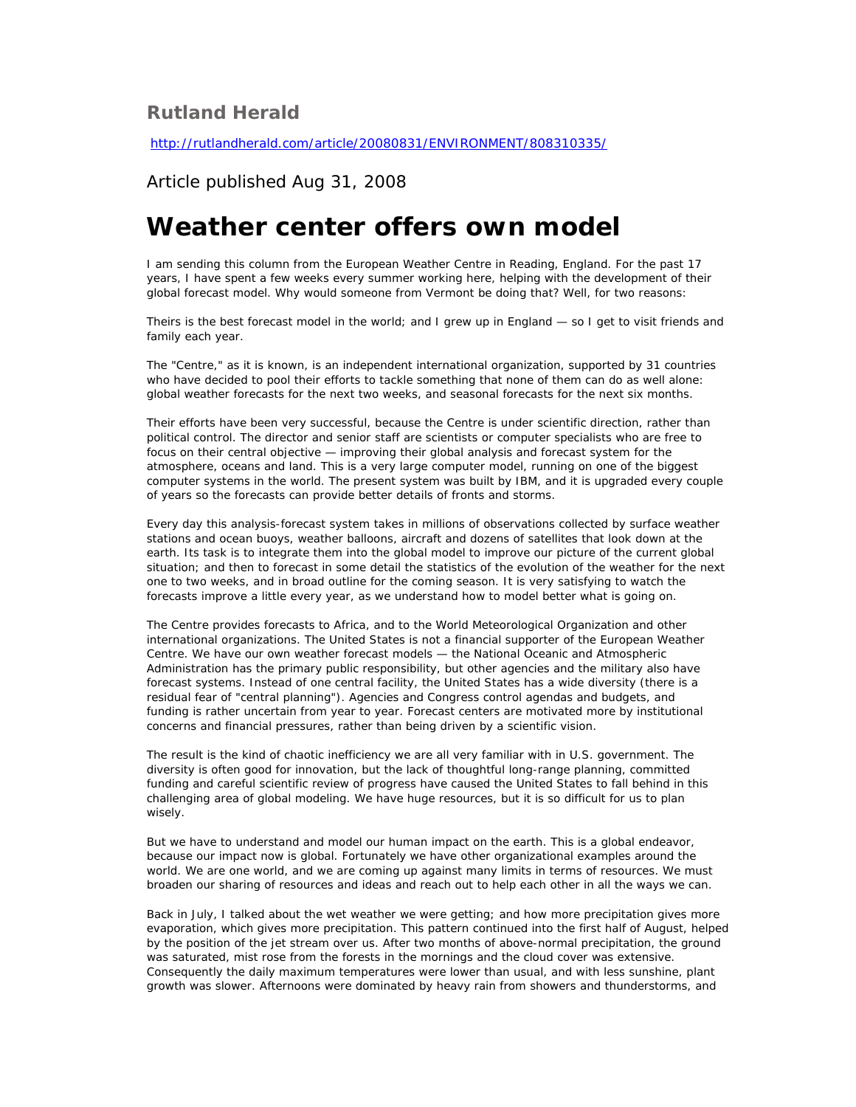## **Rutland Herald**

<http://rutlandherald.com/article/20080831/ENVIRONMENT/808310335/>

## Article published Aug 31, 2008

## **Weather center offers own model**

I am sending this column from the European Weather Centre in Reading, England. For the past 17 years, I have spent a few weeks every summer working here, helping with the development of their global forecast model. Why would someone from Vermont be doing that? Well, for two reasons:

Theirs is the best forecast model in the world; and I grew up in England — so I get to visit friends and family each year.

The "Centre," as it is known, is an independent international organization, supported by 31 countries who have decided to pool their efforts to tackle something that none of them can do as well alone: global weather forecasts for the next two weeks, and seasonal forecasts for the next six months.

Their efforts have been very successful, because the Centre is under scientific direction, rather than political control. The director and senior staff are scientists or computer specialists who are free to focus on their central objective — improving their global analysis and forecast system for the atmosphere, oceans and land. This is a very large computer model, running on one of the biggest computer systems in the world. The present system was built by IBM, and it is upgraded every couple of years so the forecasts can provide better details of fronts and storms.

Every day this analysis-forecast system takes in millions of observations collected by surface weather stations and ocean buoys, weather balloons, aircraft and dozens of satellites that look down at the earth. Its task is to integrate them into the global model to improve our picture of the current global situation; and then to forecast in some detail the statistics of the evolution of the weather for the next one to two weeks, and in broad outline for the coming season. It is very satisfying to watch the forecasts improve a little every year, as we understand how to model better what is going on.

The Centre provides forecasts to Africa, and to the World Meteorological Organization and other international organizations. The United States is not a financial supporter of the European Weather Centre. We have our own weather forecast models — the National Oceanic and Atmospheric Administration has the primary public responsibility, but other agencies and the military also have forecast systems. Instead of one central facility, the United States has a wide diversity (there is a residual fear of "central planning"). Agencies and Congress control agendas and budgets, and funding is rather uncertain from year to year. Forecast centers are motivated more by institutional concerns and financial pressures, rather than being driven by a scientific vision.

The result is the kind of chaotic inefficiency we are all very familiar with in U.S. government. The diversity is often good for innovation, but the lack of thoughtful long-range planning, committed funding and careful scientific review of progress have caused the United States to fall behind in this challenging area of global modeling. We have huge resources, but it is so difficult for us to plan wisely.

But we have to understand and model our human impact on the earth. This is a global endeavor, because our impact now is global. Fortunately we have other organizational examples around the world. We are one world, and we are coming up against many limits in terms of resources. We must broaden our sharing of resources and ideas and reach out to help each other in all the ways we can.

Back in July, I talked about the wet weather we were getting; and how more precipitation gives more evaporation, which gives more precipitation. This pattern continued into the first half of August, helped by the position of the jet stream over us. After two months of above-normal precipitation, the ground was saturated, mist rose from the forests in the mornings and the cloud cover was extensive. Consequently the daily maximum temperatures were lower than usual, and with less sunshine, plant growth was slower. Afternoons were dominated by heavy rain from showers and thunderstorms, and